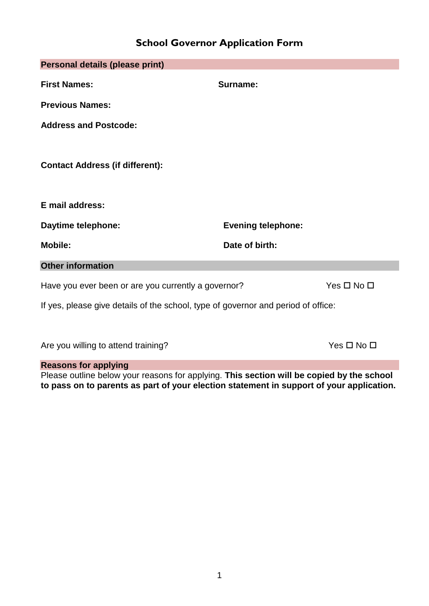# **School Governor Application Form**

| Personal details (please print)                                                   |                           |                            |
|-----------------------------------------------------------------------------------|---------------------------|----------------------------|
| <b>First Names:</b>                                                               | Surname:                  |                            |
| <b>Previous Names:</b>                                                            |                           |                            |
| <b>Address and Postcode:</b>                                                      |                           |                            |
| <b>Contact Address (if different):</b>                                            |                           |                            |
| E mail address:                                                                   |                           |                            |
| Daytime telephone:                                                                | <b>Evening telephone:</b> |                            |
| <b>Mobile:</b>                                                                    | Date of birth:            |                            |
| <b>Other information</b>                                                          |                           |                            |
| Have you ever been or are you currently a governor?                               |                           | Yes $\square$ No $\square$ |
| If yes, please give details of the school, type of governor and period of office: |                           |                            |
|                                                                                   |                           |                            |
| Are you willing to attend training?                                               |                           | $Yes \Box No \Box$         |

## **Reasons for applying**

Please outline below your reasons for applying. **This section will be copied by the school to pass on to parents as part of your election statement in support of your application.**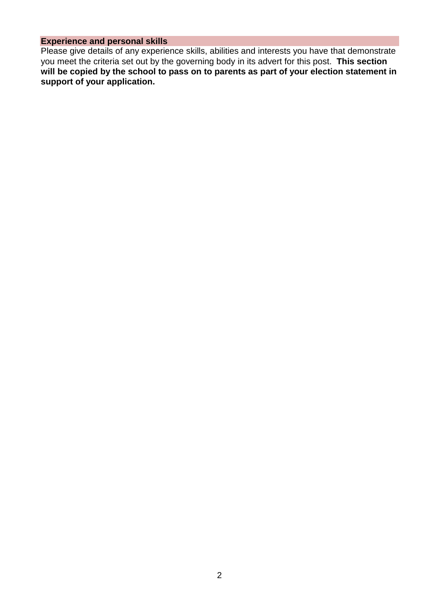## **Experience and personal skills**

Please give details of any experience skills, abilities and interests you have that demonstrate you meet the criteria set out by the governing body in its advert for this post. **This section will be copied by the school to pass on to parents as part of your election statement in support of your application.**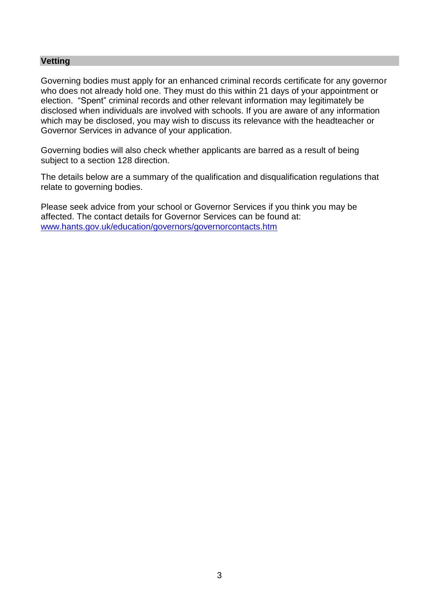#### **Vetting**

Governing bodies must apply for an enhanced criminal records certificate for any governor who does not already hold one. They must do this within 21 days of your appointment or election. "Spent" criminal records and other relevant information may legitimately be disclosed when individuals are involved with schools. If you are aware of any information which may be disclosed, you may wish to discuss its relevance with the headteacher or Governor Services in advance of your application.

Governing bodies will also check whether applicants are barred as a result of being subject to a section 128 direction.

The details below are a summary of the qualification and disqualification regulations that relate to governing bodies.

Please seek advice from your school or Governor Services if you think you may be affected. The contact details for Governor Services can be found at: [www.hants.gov.uk/education/governors/governorcontacts.htm](http://www.hants.gov.uk/education/governors/governorcontacts.htm)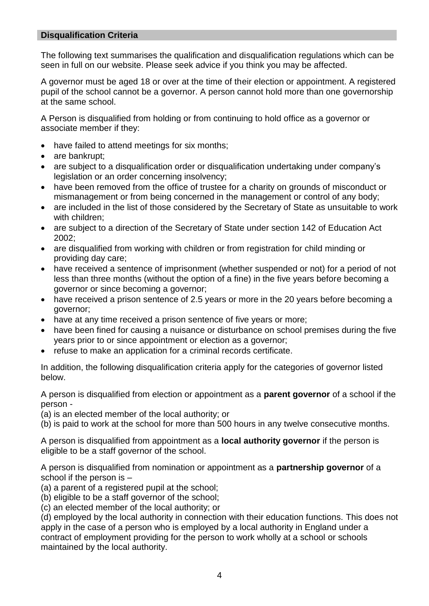### **Disqualification Criteria**

The following text summarises the qualification and disqualification regulations which can be seen in full on our website. Please seek advice if you think you may be affected.

A governor must be aged 18 or over at the time of their election or appointment. A registered pupil of the school cannot be a governor. A person cannot hold more than one governorship at the same school.

A Person is disqualified from holding or from continuing to hold office as a governor or associate member if they:

- have failed to attend meetings for six months;
- are bankrupt:
- are subject to a disqualification order or disqualification undertaking under company's legislation or an order concerning insolvency;
- have been removed from the office of trustee for a charity on grounds of misconduct or mismanagement or from being concerned in the management or control of any body;
- are included in the list of those considered by the Secretary of State as unsuitable to work with children;
- are subject to a direction of the Secretary of State under section 142 of Education Act 2002;
- are disqualified from working with children or from registration for child minding or providing day care;
- have received a sentence of imprisonment (whether suspended or not) for a period of not less than three months (without the option of a fine) in the five years before becoming a governor or since becoming a governor;
- have received a prison sentence of 2.5 years or more in the 20 years before becoming a governor;
- have at any time received a prison sentence of five years or more;
- have been fined for causing a nuisance or disturbance on school premises during the five years prior to or since appointment or election as a governor;
- refuse to make an application for a criminal records certificate.

In addition, the following disqualification criteria apply for the categories of governor listed below.

A person is disqualified from election or appointment as a **parent governor** of a school if the person -

(a) is an elected member of the local authority; or

(b) is paid to work at the school for more than 500 hours in any twelve consecutive months.

A person is disqualified from appointment as a **local authority governor** if the person is eligible to be a staff governor of the school.

A person is disqualified from nomination or appointment as a **partnership governor** of a school if the person is –

(a) a parent of a registered pupil at the school;

(b) eligible to be a staff governor of the school;

(c) an elected member of the local authority; or

(d) employed by the local authority in connection with their education functions. This does not apply in the case of a person who is employed by a local authority in England under a contract of employment providing for the person to work wholly at a school or schools maintained by the local authority.